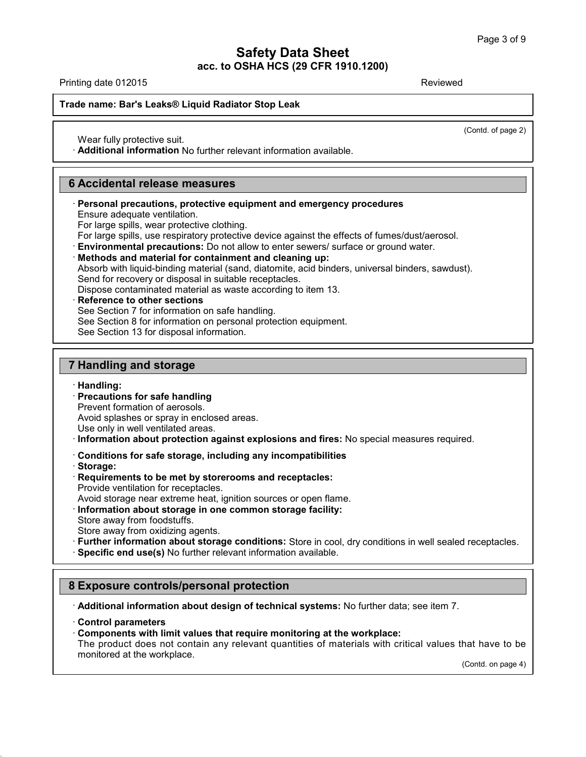## **Safety Data Sheet<br>
2011 1200**<br>
3 F **acc. to OSHA HCS (29 CFR 1910.1200) Safety Data Sheet**<br>
acc. to OSHA HCS (29 CFR 1910.1200)<br>
Reviewed Reviewed Bar's Leaks® Liquid Radiator Stop Leak<br>
Reviewed Radiator Stop Leak<br>
Reviewed Reviewed Radiator Stop Leak

(Contd. of page 2)

Wear fully protective suit.<br>**· Mear fully protective suit.**<br>· **Additional information** No further relevant information available.

### 6 Accidental release measures

### Wear fully protective suit.<br> **6 Accidental release measures<br>
Fersonal precautions, protective equipment and precautions, protective equipment and precautions.** • **Additional information** No further relevant information available.<br> **3 Accidental release measures**<br>
• **Personal precautions, protective equipment and emergency procedures**<br>
Ensure adequate ventilation.<br>
For large spill Accidental release measures<br>Personal precautions, protective equipment and<br>Ensure adequate ventilation.<br>For large spills, wear protective clothing.<br>For large spills, use respiratory protective device ay

- 
- 
- 

**Example 2018**<br> **Example 2019**<br> **Example 2019 Conserved Conserved Conserved Conserved Conserved Conserved Conserved Change spills, wear protective clothing.<br>
For large spills, wear protective clothing.<br>
For large spills, u** Ensure adequate ventilation.<br>For large spills, wear protective clothing.<br>For large spills, use respiratory protective device against the effects of fumes/dust/aerosol.<br>**Environmental precautions:** Do not allow to enter sew For large spills, wear protective clothing.<br>For large spills, use respiratory protective device against the<br>**Environmental precautions:** Do not allow to enter sewers/<br>**Methods and material for containment and cleaning up:** For large spills, use respiratory protective device against the effects of fumes/<br> **Environmental precautions:** Do not allow to enter sewers/ surface or ground<br> **Methods and material for containment and cleaning up:**<br>
Abso Methods and material for containment and cleaning a<br>Absorb with liquid-binding material (sand, diatomite, acid<br>Send for recovery or disposal in suitable receptacles.<br>Dispose contaminated material as waste according to ite<br> Absorb with liquid-binding material (sand, diatomite, acid binders, univer<br>Send for recovery or disposal in suitable receptacles.<br>Dispose contaminated material as waste according to item 13.<br>**Reference to other sections**<br>S

- Send for recovery or disposal in suitable recept<br>Dispose contaminated material as waste accor<br>**Reference to other sections**<br>See Section 7 for information on safe handling.<br>See Section 8 for information on personal prote<br>Se **12 Reference to other sections**<br>
See Section 7 for information on safe has<br>
See Section 8 for information on personal<br>
See Section 13 for disposal information.<br> **7 Handling and storage**<br> **Handling:** 
	-

# **Fandling and storage<br>
· <b>Handling:**<br>
· **Precautions for safe handling**<br>
Prevent formation of aerosols.<br>
Avoid splashes or spray in enclosed areas

· **Handling:**

**Handling and storage<br>Handling:<br>Precautions for safe handling<br>Prevent formation of aerosols.<br>Avoid splashes or spray in enclosed are<br>Use only in well ventilated areas Handling and storage<br>Handling:<br>Precautions for safe handling<br>Prevent formation of aerosols.**<br>Avoid splashes or spray in enclosed areas.<br>Use only in well ventilated areas.<br>Information about protection against explosions an

- 
- **Example 15**<br> **Example 15**<br> **Example 15**<br> **Example 15**<br> **Example 15**<br> **Example 15**<br> **Example 15**<br> **Example 15**<br> **Conditions for safe storage, including any incompatibilities**<br> **Conditions for safe storage, including any i** Use only in well ventilated areas.<br> **Conditions about protection against explosions and fires:** No special measures required.<br> **Conditions for safe storage, including any incompatibilities**<br> **Conditions for safe storage, i** Information about protection against e<br>Conditions for safe storage, including<br>Storage:<br>Requirements to be met by storeroom:<br>Provide ventilation for receptacles.<br>Avoid storage near extreme heat, ignition<br>Information about s
- 
- · **Storage:**
- 
- 
- Avoid storage is to be met by storerooms and receptacles:<br> **Example:**<br> **Requirements to be met by storerooms and receptacles:**<br>
Provide ventilation for receptacles.<br>
Avoid storage near extreme heat, ignition sources or ope Storage:<br>Requirements to be met by storer<br>Provide ventilation for receptacles.<br>Avoid storage near extreme heat, ig<br>Information about storage in one<br>Store away from oxidizing agents.<br>Eurther information about storage
- 
- 
- 
- Requirements to be met by storerooms and receptacles:<br>
Provide ventilation for receptacles.<br>
Avoid storage near extreme heat, ignition sources or open flame.<br>
Information about storage in one common storage facility:<br>
Stor Store away from foodstuffs.<br>
Store away from oxidizing agents.<br> **Further information about storage conditions:** Store in cool, dry conditions in well sealed receptacles.<br> **8 Exposure controls/personal protection**<br> **8 Expos**

· **Additional information about design of technical systems:** No further data; see item 7. · **Control parameters**

40.1.5

• **Composure controls/personal protection**<br>• **Additional information about design of technical systems:** No further data; see<br>• **Control parameters**<br>• **Components with limit values that require monitoring at the workplace: Control parameters**<br> **Components with limit values that require monitoring at the workplace:**<br>
The product does not contain any relevant quantities of materials with critical values that have to be<br>
monitored at the work Additional information about desi<br>Control parameters<br>Components with limit values tha<br>The product does not contain any<br>monitored at the workplace. hat have to be<br>(Contd. on page 4)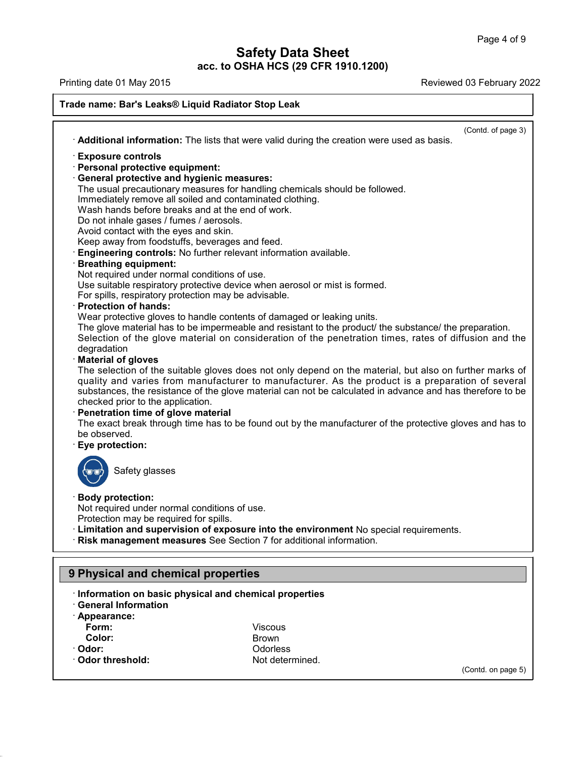## **Safety Data Sheet<br>
2011 1200**<br>
3 F **acc. to OSHA HCS (29 CFR 1910.1200)**

Printing date 01 May 2015 **Reviewed 03 February 2022** 

**Trade name: Bary Data Sheet Accepts**<br>Printing date 01 May 2015<br>Trade name: Bar's Leaks® Liquid Radiator Stop Leak<br>Accepts 2016<br>Accepts 2016 Radiator Stop Leak (Contd. of page 3) <sup>1</sup> **Additional information:** The lists that were valid during the creation were used as basis.<br>
• **Additional information:** The lists that were valid during the creation were used as basis.<br>
• **Exposure controls**<br>
• **Pers** · **Personal protective equipment:** • **Additional information:** The lists that were valid durined **Exposure controls**<br>• **Personal protective equipment:**<br>• **General protective and hygienic measures:**<br>• The usual precautionary measures for handling chemined li **Exposure controls**<br> **Exposure controls**<br> **The usual protective equipment:**<br> **Ceneral protective and hygienic measures:**<br>
The usual precautionary measures for handling chemicals should be followed.<br>
Immediately remove all Exposure controls<br>
Personal protective equipment:<br>
General protective and hygienic measures:<br>
The usual precautionary measures for handling chemicals should be<br>
Immediately remove all soiled and contaminated clothing.<br>
Was Exposure controls<br>
Personal protective equipment:<br>
General protective and hygienic measures:<br>
The usual precautionary measures for handling chemicals should<br>
Immediately remove all soiled and contaminated clothing.<br>
Wash h **Personal protective equipment:**<br> **General protective and hygienic measures:**<br>
The usual precautionary measures for handling c<br>
Immediately remove all soiled and contaminated<br>
Wash hands before breaks and at the end of wor **General protective and hygienic measures:**<br>The usual precautionary measures for handling che<br>Immediately remove all soiled and contaminated clo<br>Wash hands before breaks and at the end of work.<br>Do not inhale gases / fumes The usual precautionary measures for handling chemicals should be follow<br>
Immediately remove all soiled and contaminated clothing.<br>
Wash hands before breaks and at the end of work.<br>
Do not inhale gases / fumes / aerosols.<br> Do not inhale gases / fumes / aerosols.<br>Avoid contact with the eyes and skin.<br>Keep away from foodstuffs, beverages and feed.<br>**Engineering controls:** No further relevant information avai<br>**Breathing equipment:**<br>Not required Avoid contact with the eyes and skin.<br>
Keep away from foodstuffs, beverages and feed.<br> **Engineering controls:** No further relevant information available.<br> **Breathing equipment:**<br>
Not required under normal conditions of use Keep away from foodstuffs, beverages and feed.<br> **Engineering controls:** No further relevant information ava<br> **Breathing equipment:**<br>
Not required under normal conditions of use.<br>
Use suitable respiratory protective device The glove material has to be impermeable and resistant to the product/ the substance/ the preparation. Not required under normal conditions of use.<br>Use suitable respiratory protective device when aerosol or mist is formed.<br>For spills, respiratory protection may be advisable.<br>**Protection of hands:**<br>Wear protective gloves to Use suitable respiratory protective device when aerosol or mist is formed.<br>For spills, respiratory protection may be advisable.<br>**Protection of hands:**<br>Wear protective gloves to handle contents of damaged or leaking units.<br> degradation<br>Material of gloves Wear protective gloves to handle contents of damaged or leaking units.<br>The glove material has to be impermeable and resistant to the product/ the substance/ the preparation.<br>Selection of the glove material on consideration Wear protective gloves to handle contents of damaged or leaking units.<br>The glove material has to be impermeable and resistant to the product/ the substance/ the preparation.<br>Selection of the glove material on consideration The glove material has to be impermeable and resistant to the product/ the substance/ the preparation.<br>Selection of the glove material on consideration of the penetration times, rates of diffusion and the degradation<br>**Mate** The selection of the suitable gloves does not only depend on the material, but also on further marks of quality and varies from manufacturer to manufacturer. As the product is a preparation of several substances, the resis degradation<br> **Checked priors**<br>
The selection of the suitable gloves does not<br>
quality and varies from manufacturer to material<br>
substances, the resistance of the glove material<br> **Checked prior to the application.**<br> **Penetr** The selection of the suitable gloves does not only depend on the material, but also on further marks of<br>quality and varies from manufacturer to manufacturer. As the product is a preparation of several<br>substances, the resis quality and varies from<br>substances, the resista<br>checked prior to the app<br>**Penetration time of gli**<br>The exact break throug<br>be observed.<br>**Eye protection:** The exact break through time has to be found out by the manufacturer of the protective gloves and has to be observed.<br>
Safety glasses<br>
Safety glasses<br>
Safety glasses Not required under normal conditions of use.<br>Protection may be required for spills. Safety glasses<br>
Body protection:<br>
Not required under normal conditions of use.<br>
Protection may be required for spills.<br>
Limitation and supervision of exposure into the enviror Protection may be required for spills.<br> **Protection may be required for spills.**<br> **Protection and supervision of exposure into the environment** No special requirements.<br> **Risk management measures** See Section 7 for additio Frotection may be required for spills.<br>
Protection may be required for spills.<br> **1. Limitation and supervision of exposure into the en**<br> **19 Physical and chemical properties**<br> **19 Physical and chemical properties** • **KISK management measures** See Section / for additional information<br>
• **Physical and chemical properties**<br>
• **Information** on basic physical and chemical properties<br>
• **Appearance: 9 Physical and chemical properties**<br>Information on basic physical and chemical energy<br>General Information<br>Appearance:<br>Form:

- 
- 
- · **Appearance:**

40.1.5

**Form:** Viscous **Color:** Brown · **Odor:** Odorless • General Information<br>• Appearance:<br>**Form:** Color: Brown<br>• Odor: Brown Odorless<br>• Odor threshold: Not determined.

(Contd. on page 5)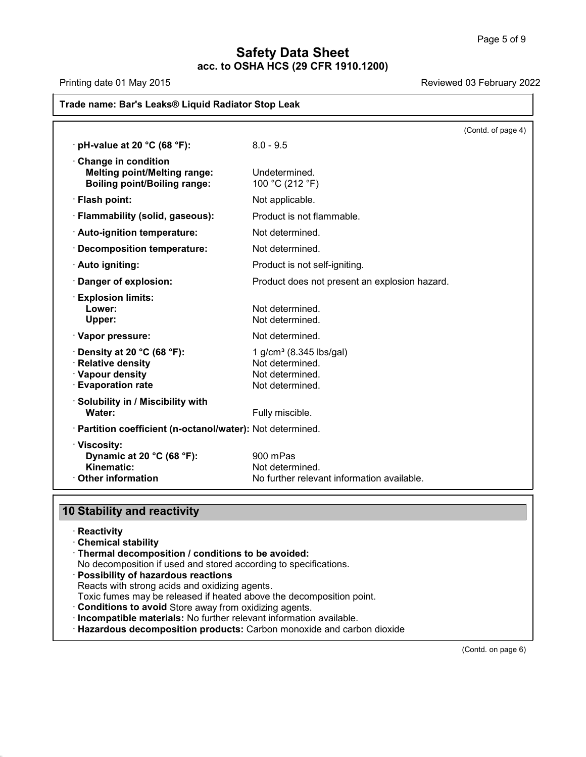## **Safety Data Sheet<br>
2011 1200**<br>
3 F **acc. to OSHA HCS (29 CFR 1910.1200)**

| Printing date 01 May 2015<br>Reviewed 03 February 2022<br>Trade name: Bar's Leaks® Liquid Radiator Stop Leak |                                                                                              |  |
|--------------------------------------------------------------------------------------------------------------|----------------------------------------------------------------------------------------------|--|
|                                                                                                              |                                                                                              |  |
| $\cdot$ pH-value at 20 °C (68 °F):                                                                           | $8.0 - 9.5$                                                                                  |  |
| Change in condition<br><b>Melting point/Melting range:</b><br><b>Boiling point/Boiling range:</b>            | Undetermined.<br>100 °C (212 °F)                                                             |  |
| · Flash point:                                                                                               | Not applicable.                                                                              |  |
| · Flammability (solid, gaseous):                                                                             | Product is not flammable.                                                                    |  |
| · Auto-ignition temperature:                                                                                 | Not determined.                                                                              |  |
| · Decomposition temperature:                                                                                 | Not determined.                                                                              |  |
| · Auto igniting:                                                                                             | Product is not self-igniting.                                                                |  |
| Danger of explosion:                                                                                         | Product does not present an explosion hazard.                                                |  |
| <b>Explosion limits:</b><br>Lower:<br>Upper:                                                                 | Not determined.<br>Not determined.                                                           |  |
| · Vapor pressure:                                                                                            | Not determined.                                                                              |  |
| $\cdot$ Density at 20 °C (68 °F):<br>· Relative density<br>· Vapour density<br>· Evaporation rate            | 1 g/cm <sup>3</sup> (8.345 lbs/gal)<br>Not determined.<br>Not determined.<br>Not determined. |  |
| · Solubility in / Miscibility with<br>Water:                                                                 | Fully miscible.                                                                              |  |
| · Partition coefficient (n-octanol/water): Not determined.                                                   |                                                                                              |  |
| · Viscosity:<br>Dynamic at 20 °C (68 °F):<br>Kinematic:<br>$\cdot$ Other information                         | 900 mPas<br>Not determined.<br>No further relevant information available                     |  |
|                                                                                                              |                                                                                              |  |
| 10 Stability and reactivity                                                                                  |                                                                                              |  |

40.1.5

- · **Reactivity**
- 
- · **Thermal decomposition / conditions to be avoided: Stability and reactivity**<br>
· Reactivity<br>
· Chemical stability<br>
· Thermal decomposition *l* conditions to be avoided:<br>
No decomposition if used and stored according to specifications.<br>
· **Possibility of hazardous reactions**
- 
- 
- Thermal decomposition / conditions to be avoided:<br>No decomposition if used and stored according to specifications.<br>Possibility of hazardous reactions<br>Reacts with strong acids and oxidizing agents.<br>Toxic fumes may be releas
- 
- 
- Chemical stability<br>
Thermal decomposition / conditions to be avoided:<br>
No decomposition if used and stored according to specifications.<br>
Possibility of hazardous reactions<br>
Reacts with strong acids and oxidizing agents.<br>
T

(Contd. on page 6)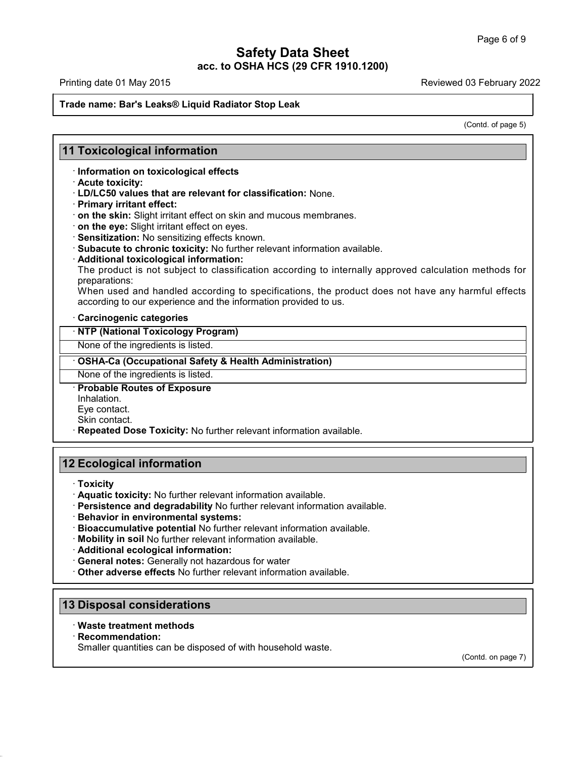## **Safety Data Sheet<br>
2011 1200**<br>
3 F **acc. to OSHA HCS (29 CFR 1910.1200) Trade name: Bary Data Sheet**<br>Printing date 01 May 2015<br>Trade name: Bar's Leaks® Liquid Radiator Stop Leak<br>Trade name: Bar's Leaks® Liquid Radiator Stop Leak

# **11 Toxicological information<br>11 Toxicological information<br>11 Toxicological information<br>Information on toxicological effects**

# **Toxicological information**<br>· Information on toxicological effects<br>· Acute toxicity:<br>· LD/LC50 values that are relevant for classification

- 
- **11 Toxicological information<br>
Information on toxicological effects<br>
Acute toxicity:<br>
LD/LC50 values that are relevant for classification: None.<br>
Primary irritant effect:** 
	-
	- **on the skin:** Slight irritant effect on skin and mucous membranes.<br>• **on the eye:** Slight irritant effect on eyes.
	-
	-
	-
	-

Find the toxicity:<br>
Final of the toxicity:<br>
FID/LC50 values that are relevant for classification: None.<br>
Frimary irritant effect:<br>
Final of the skin: Slight irritant effect on skin and mucous membranes.<br>
For the eye: Slig on the skin: Slight irritant effect on skin and mucous membranes.<br>
on the eye: Slight irritant effect on eyes.<br>
Sensitization: No sensitizing effects known.<br>
Subacute to chronic toxicity: No further relevant information av preparations:

Sensitization: No sensitizing effects known.<br>Subacute to chronic toxicity: No further relevant information available.<br>Additional toxicological information:<br>The product is not subject to classification according to internal • **Subacute to chronic toxicity:** No further relevant information available.<br>• **Additional toxicological information:**<br>• The product is not subject to classification according to internally approve<br>preparations:<br>• When use · **NTP (National Toxicology Program)** When used and handled according to specifications, the prod<br>according to our experience and the information provided to us.<br> **· Carcinogenic categories**<br> **· NTP (National Toxicology Program)**<br>
None of the ingredients is li

**None of the ingredients is listed.**<br> **None of the ingredients is listed.**<br> **• OSHA-Ca (Occupational Safety & Health A**<br>
None of the ingredients is listed.<br>
• **Probable Routes of Exposure**<br>
Inhalation.<br>
Eve contact. **COSHA-Ca (Occupational Safety & Health Administration)**<br>
None of the ingredients is listed.<br> **Probable Routes of Exposure**<br>
Inhalation.<br>
Eye contact.<br>
Skin contact.<br> **Repeated Dose Toxicity:** No further relevant informati

Inhalation.<br>Eve contact.

Schild contact.<br>
None of the ingredients is listed.<br> **Contact.**<br> **Probable Routes of Exposure**<br>
Inhalation.<br>
Eye contact.<br>
Skin contact.<br> **Repeated Dose Toxicity:** No further relevant information available. Imalation.<br>
Eye contact.<br>
Skin contact.<br> **12 Ecological information**<br> **12 Ecological information** 

- · **Toxicity**
- **Ecological information**<br> **· Toxicity**<br> **· Aquatic toxicity:** No further relevant information available.<br> **· Behavior in environmental systems:**<br> **· Bioaccumulative potential No** further relevant information available.<br> **·** • **Toxicity**<br>• **Aquatic toxicity:** No further relevant information available.<br>• **Behavior in environmental systems:**<br>• **Bioaccumulative potential** No further relevant information available.<br>• **Mobility in soil** No further
- 
- Bioaccumulative potential No further relevant information available.<br>• **Mobility in soil** No further relevant information available.<br>• **Additional ecological information:**<br>• **General notes:** Generally not hazardous for w
- 
- 
- Mobility in son No luttilet relevant information:<br> **13 Disposal considerations**<br> **13 Disposal considerations**<br> **13 Disposal considerations**<br> **13 Disposal considerations**
- **Persistence and degradability** No further relevant information<br>• **Behavior in environmental systems:**<br>• **Bioaccumulative potential** No further relevant information avails<br>• **Additional ecological information:**<br>• **Genera** • Other adverse effects No further relevant information available.<br>
13 Disposal considerations<br>
• Waste treatment methods<br>
• Recommendation:<br>
Smaller quantities can be disposed of with household waste.

- 
- · **Recommendation:**

40.1.5

**Disposal considerations<br>Waste treatment methods<br>Recommendation:**<br>Smaller quantities can be disposed of with household waste.

(Contd. on page 7)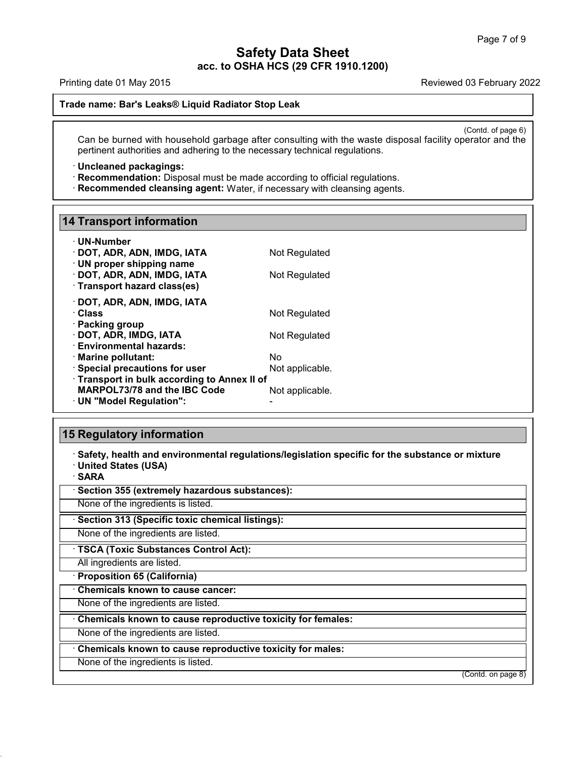### **Safety Data Sheet<br>
2011 1200**<br>
3 F **acc. to OSHA HCS (29 CFR 1910.1200) Safety Data Sheet**<br>acc. to OSHA HCS (29 CFR 1910.1200)<br>Trade name: Bar's Leaks® Liquid Radiator Stop Leak

Printing date 01 May 2015 **Reviewed 03 February 2022** 

(Contd. of page 6)<br>
erator and the Can be burned with household garbage after consulting with the waste disposal facility operator and the pertinent authorities and adhering to the necessary technical regulations. **Example 2018 Example 2019 Ideal Starting and adhering to the necessary technical regulations.**<br> **Can be burned with household garbage after consulting with the waste disposertinent authorities and adhering to the necessar** Can be burned with household garbage after consulting with the waste disposal facility pertinent authorities and adhering to the necessary technical regulations. **· Recommendation:** Disposal must be made according to offi

**11 Uncleaned packagings:**<br>1**8 Recommendation:** Disposal must be made according to official regulations.<br>18 Recommended cleansing agent: Water, if necessary with cleansing agents.

### **14 Transport information**

| <b>14 Transport information</b>                                     |                 |
|---------------------------------------------------------------------|-----------------|
| $\cdot$ UN-Number                                                   |                 |
| · DOT, ADR, ADN, IMDG, IATA                                         | Not Regulated   |
| $\cdot$ UN proper shipping name                                     |                 |
| · DOT, ADR, ADN, IMDG, IATA                                         | Not Regulated   |
| · Transport hazard class(es)                                        |                 |
| · DOT, ADR, ADN, IMDG, IATA                                         |                 |
| · Class                                                             | Not Regulated   |
| · Packing group                                                     |                 |
| · DOT, ADR, IMDG, IATA                                              | Not Regulated   |
| · Environmental hazards:<br>· Marine pollutant:                     | Nο              |
| · Special precautions for user                                      | Not applicable. |
| Transport in bulk according to Annex II of                          |                 |
| <b>MARPOL73/78 and the IBC Code</b>                                 | Not applicable. |
| · UN "Model Regulation":                                            |                 |
|                                                                     |                 |
| <b>15 Regulatory information</b>                                    |                 |
|                                                                     |                 |
| · Safety, health and environmental regulations/legislation specific |                 |
|                                                                     |                 |

· UN™Model Regulation":<br> **Safety, health and environmental regulations/legislation specific for the substance or mixture**<br>
· United States (USA)<br>· SARA **15 Regulatory information**<br>
· Safety, health and environmental regulations/leg<br>
· United States (USA)<br>
· SARA<br>
· Section 355 (extremely hazardous substances): • **Safety, health and environmental regulations/legislat**<br>• United States (USA)<br>• **SARA**<br>• **Section 355 (extremely hazardous substances):**<br>None of the ingredients is listed. None of the ingredients is listed.<br>None of the ingredients is listed.<br>None of the ingredients is listed.<br>None of the ingredients is listed.<br>None of the ingredients are listed.<br>None of the ingredients are listed.

· **SARA**

40.1.5

**SARA**<br> **Example 355 (extremely hazardous substances):**<br>
None of the ingredients is listed.<br> **TSCA (Toxic Substances Control Act):**<br>
All ingredients are listed.<br> **TSCA (Toxic Substances Control Act):**<br>
All ingredients are None of the ingredients is listed.<br> **· Section 313 (Specific toxic chemical listings):**<br>
None of the ingredients are listed.<br> **· TSCA (Toxic Substances Control Act):**<br>
All ingredients are listed.<br> **· Proposition 65 (Califo** 

**TSCA (Toxic Substances Control Act):** 

TSCA (Toxic Substances Control Act):<br>
All ingredients are listed.<br> **· Proposition 65 (California)**<br>
· Chemicals known to cause cancer:<br>
None of the ingredients are listed.<br>
None of the ingredients are listed.<br>
None of the • **Proposition 65 (Califormia)**<br>• **Chemicals known to cause cancer:**<br>• **Chemicals known to cause reproductive toxicity for females:**<br>• None of the ingredients are listed.<br>• **Chemicals known to cause reproductive toxicity f** Chemicals known to cause reproductive toxicity for females:<br>
None of the ingredients are listed.<br>
Chemicals known to cause reproductive toxicity for males:<br>
None of the ingredients is listed.

(Contd. on page 8)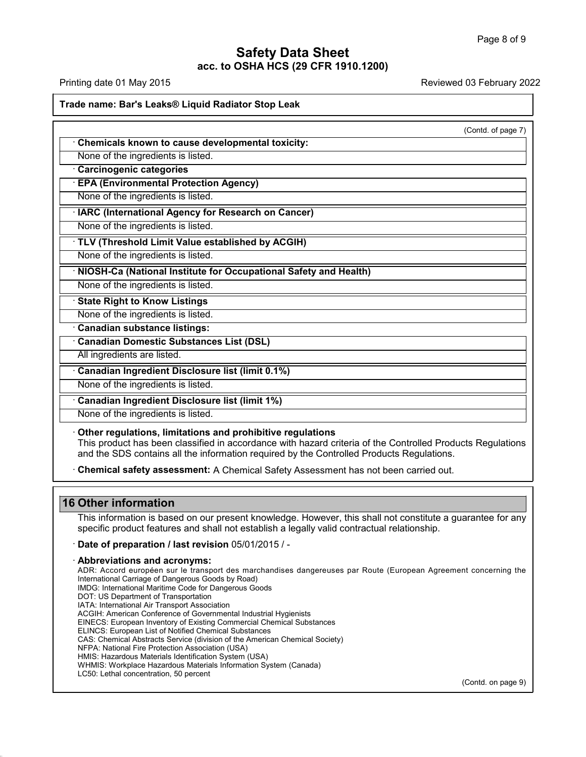## **Safety Data Sheet<br>
2011 1200**<br>
3 F **acc. to OSHA HCS (29 CFR 1910.1200)**<br>**acc. to OSHA HCS (29 CFR 1910.1200)**

| Safety Data Sheet<br>acc. to OSHA HCS (29 CFR 1910.1200)                                                                                                                                                                                                              |                           |  |
|-----------------------------------------------------------------------------------------------------------------------------------------------------------------------------------------------------------------------------------------------------------------------|---------------------------|--|
| Printing date 01 May 2015                                                                                                                                                                                                                                             | Reviewed 03 February 2022 |  |
| Trade name: Bar's Leaks® Liquid Radiator Stop Leak                                                                                                                                                                                                                    |                           |  |
|                                                                                                                                                                                                                                                                       | (Contd. of page 7)        |  |
| Chemicals known to cause developmental toxicity:                                                                                                                                                                                                                      |                           |  |
| None of the ingredients is listed.                                                                                                                                                                                                                                    |                           |  |
| Carcinogenic categories                                                                                                                                                                                                                                               |                           |  |
| <b>EPA (Environmental Protection Agency)</b>                                                                                                                                                                                                                          |                           |  |
| None of the ingredients is listed.                                                                                                                                                                                                                                    |                           |  |
| · IARC (International Agency for Research on Cancer)                                                                                                                                                                                                                  |                           |  |
| None of the ingredients is listed.                                                                                                                                                                                                                                    |                           |  |
| · TLV (Threshold Limit Value established by ACGIH)                                                                                                                                                                                                                    |                           |  |
| None of the ingredients is listed.                                                                                                                                                                                                                                    |                           |  |
| · NIOSH-Ca (National Institute for Occupational Safety and Health)                                                                                                                                                                                                    |                           |  |
| None of the ingredients is listed.                                                                                                                                                                                                                                    |                           |  |
| <b>State Right to Know Listings</b>                                                                                                                                                                                                                                   |                           |  |
| None of the ingredients is listed.                                                                                                                                                                                                                                    |                           |  |
| Canadian substance listings:                                                                                                                                                                                                                                          |                           |  |
| <b>Canadian Domestic Substances List (DSL)</b>                                                                                                                                                                                                                        |                           |  |
| All ingredients are listed.                                                                                                                                                                                                                                           |                           |  |
| Canadian Ingredient Disclosure list (limit 0.1%)                                                                                                                                                                                                                      |                           |  |
| None of the ingredients is listed.                                                                                                                                                                                                                                    |                           |  |
| Canadian Ingredient Disclosure list (limit 1%)                                                                                                                                                                                                                        |                           |  |
| None of the ingredients is listed.                                                                                                                                                                                                                                    |                           |  |
| Other regulations, limitations and prohibitive regulations<br>This product has been classified in accordance with hazard criteria of the Controlled Products Regulations<br>and the SDS contains all the information required by the Controlled Products Regulations. |                           |  |
| · Chemical safety assessment: A Chemical Safety Assessment has not been carried out.                                                                                                                                                                                  |                           |  |
|                                                                                                                                                                                                                                                                       |                           |  |

Other regulations, limitations and prohibitive regulations<br>This product has been classified in accordance with hazard criteria of the Controlled Products Regulations<br>and the SDS contains all the information required by the This product has been classified in<br>and the SDS contains all the inform<br>**16 Other information<br>This information**<br>This information is based on our propecific product features and shall in

40.1.5

Chemical safety assessment: A Chemical Safety Assessment has not been carried out.<br>
Cther information<br>
This information is based on our present knowledge. However, this shall not constitute a guarantee for any<br>
specific pr Specific product features and shall not establish a legally valid contractual relationship.<br>
This information is based on our present knowledge. However, this shall not constitute a gual specific product features and shall This information is based on our preser<br>specific product features and shall not  $\epsilon$ <br>**· Date of preparation / last revision** 05.<br>**Abbreviations and acronyms:**<br>ADR: Accord européen sur le transport des<br>International Carriag

specific product features and shall not establish a legally valid contractual relationship.<br> **Date of preparation / last revision** 05/01/2015 / -<br>
A**bbreviations and acronyms:**<br>
International Carriage of Dangerous Goods<br>
I **Date of preparation / last revision** 05/01/2015 / -<br> **Abbreviations and acronyms:**<br>
ADR: Accord européen sur le transport des marchandises<br>
International Carriage of Dangerous Goods<br>
IMDG: International Maritime Code for Date of preparation / last revision 05/01/2015 / -<br>Abbreviations and acronyms:<br>ADR: Accord européen sur le transport des marchandises dang<br>International Carriage of Dangerous Goods by Road)<br>IMDG: International Maritime Cod International Carriage of Dangerous Goods by Road)<br>IMDG: International Maritime Code for Dangerous Go<br>DOT: US Department of Transportation<br>IATA: International Air Transport Association ADDreVIations and acronyms:<br>ADR: Accord européen sur le transport des marc<br>International Carriage of Dangerous Goods by Road)<br>IMDG: International Maritime Code for Dangerous Goo<br>DOT: US Department of Transportation<br>ATA: In ADR: Accord européen sur le transport des marchandises dangereuse<br>International Carriage of Dangerous Goods by Road)<br>IMDG: International Maritime Code for Dangerous Goods<br>DOT: US Department of Transportation<br>IATA: Internat International Carriage of Dangerous Goods by Road)<br>IMDG: International Maritime Code for Dangerous Goods<br>DOT: US Department of Transportation<br>IATA: International Air Transport Association<br>ACGIH: American Conference of Gove IMDG: International Maritime Code for Dangerous Goods<br>DOT: US Department of Transportation<br>IATA: International Air Transport Association<br>ACGIH: American Conference of Governmental Industrial Hygien<br>EINECS: European List of DOT: US Department of Transportation<br>IATA: International Air Transport Association<br>ACGIH: American Conference of Governmental Industrial Hygienists<br>EINECS: European Inventory of Existing Commercial Chemical Substances<br>ELIN IATA: International Air Transport Association<br>ACGIH: American Conference of Governmental Industrial Hygi<br>EINECS: European Inventory of Existing Commercial Chemica<br>ELINCS: European List of Notified Chemical Substances<br>CAS: ACGIH: American Conference of Governmental Industrial Hygienists<br>EINECS: European Inventory of Existing Commercial Chemical Subs<br>ELINCS: European List of Notified Chemical Substances<br>CAS: Chemical Abstracts Service (divisi EINECS: European Inventory of Existing Commercial Chemical Substances<br>ELINCS: European List of Notified Chemical Substances<br>CAS: Chemical Abstracts Service (division of the American Chemical Society)<br>NFPA: National Fire Pr ELINCS: European List of Notified Chemical Subs<br>CAS: Chemical Abstracts Service (division of the ANFPA: National Fire Protection Association (USA)<br>HMIS: Hazardous Materials Identification System (<br>WHMIS: Workplace Hazardou (Contd. on page 9)